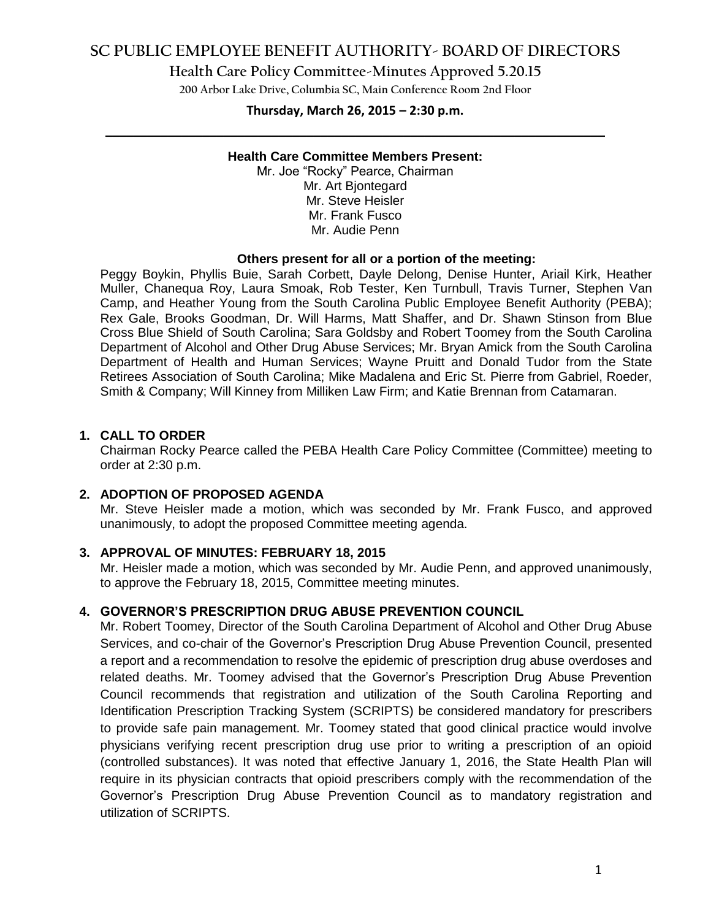## **SC PUBLIC EMPLOYEE BENEFIT AUTHORITY- BOARD OF DIRECTORS**

**Health Care Policy Committee-Minutes Approved 5.20.15**

**200 Arbor Lake Drive, Columbia SC, Main Conference Room 2nd Floor**

# **Thursday, March 26, 2015 – 2:30 p.m. \_\_\_\_\_\_\_\_\_\_\_\_\_\_\_\_\_\_\_\_\_\_\_\_\_\_\_\_\_\_\_\_\_\_\_\_\_\_\_\_\_\_\_\_\_\_\_\_\_\_\_\_\_\_\_\_\_\_\_\_\_\_\_\_\_\_\_\_\_\_\_\_**

#### **Health Care Committee Members Present:**

Mr. Joe "Rocky" Pearce, Chairman Mr. Art Bjontegard Mr. Steve Heisler Mr. Frank Fusco Mr. Audie Penn

#### **Others present for all or a portion of the meeting:**

Peggy Boykin, Phyllis Buie, Sarah Corbett, Dayle Delong, Denise Hunter, Ariail Kirk, Heather Muller, Chanequa Roy, Laura Smoak, Rob Tester, Ken Turnbull, Travis Turner, Stephen Van Camp, and Heather Young from the South Carolina Public Employee Benefit Authority (PEBA); Rex Gale, Brooks Goodman, Dr. Will Harms, Matt Shaffer, and Dr. Shawn Stinson from Blue Cross Blue Shield of South Carolina; Sara Goldsby and Robert Toomey from the South Carolina Department of Alcohol and Other Drug Abuse Services; Mr. Bryan Amick from the South Carolina Department of Health and Human Services; Wayne Pruitt and Donald Tudor from the State Retirees Association of South Carolina; Mike Madalena and Eric St. Pierre from Gabriel, Roeder, Smith & Company; Will Kinney from Milliken Law Firm; and Katie Brennan from Catamaran.

### **1. CALL TO ORDER**

Chairman Rocky Pearce called the PEBA Health Care Policy Committee (Committee) meeting to order at 2:30 p.m.

#### **2. ADOPTION OF PROPOSED AGENDA**

Mr. Steve Heisler made a motion, which was seconded by Mr. Frank Fusco, and approved unanimously, to adopt the proposed Committee meeting agenda.

#### **3. APPROVAL OF MINUTES: FEBRUARY 18, 2015**

Mr. Heisler made a motion, which was seconded by Mr. Audie Penn, and approved unanimously, to approve the February 18, 2015, Committee meeting minutes.

#### **4. GOVERNOR'S PRESCRIPTION DRUG ABUSE PREVENTION COUNCIL**

Mr. Robert Toomey, Director of the South Carolina Department of Alcohol and Other Drug Abuse Services, and co-chair of the Governor's Prescription Drug Abuse Prevention Council, presented a report and a recommendation to resolve the epidemic of prescription drug abuse overdoses and related deaths. Mr. Toomey advised that the Governor's Prescription Drug Abuse Prevention Council recommends that registration and utilization of the South Carolina Reporting and Identification Prescription Tracking System (SCRIPTS) be considered mandatory for prescribers to provide safe pain management. Mr. Toomey stated that good clinical practice would involve physicians verifying recent prescription drug use prior to writing a prescription of an opioid (controlled substances). It was noted that effective January 1, 2016, the State Health Plan will require in its physician contracts that opioid prescribers comply with the recommendation of the Governor's Prescription Drug Abuse Prevention Council as to mandatory registration and utilization of SCRIPTS.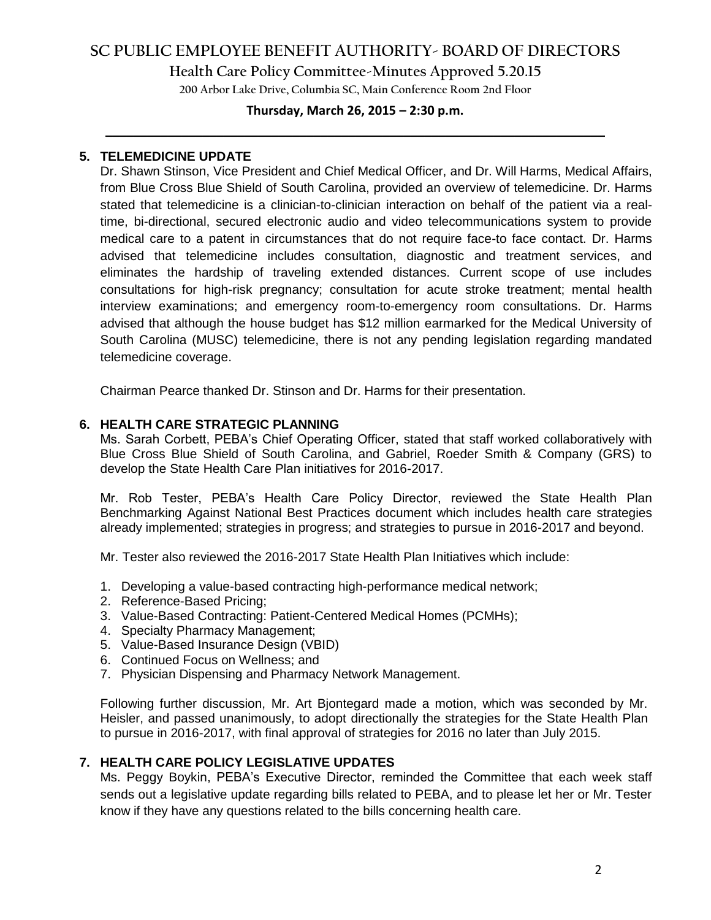# **SC PUBLIC EMPLOYEE BENEFIT AUTHORITY- BOARD OF DIRECTORS**

**Health Care Policy Committee-Minutes Approved 5.20.15**

**200 Arbor Lake Drive, Columbia SC, Main Conference Room 2nd Floor**

## **Thursday, March 26, 2015 – 2:30 p.m. \_\_\_\_\_\_\_\_\_\_\_\_\_\_\_\_\_\_\_\_\_\_\_\_\_\_\_\_\_\_\_\_\_\_\_\_\_\_\_\_\_\_\_\_\_\_\_\_\_\_\_\_\_\_\_\_\_\_\_\_\_\_\_\_\_\_\_\_\_\_\_\_**

### **5. TELEMEDICINE UPDATE**

Dr. Shawn Stinson, Vice President and Chief Medical Officer, and Dr. Will Harms, Medical Affairs, from Blue Cross Blue Shield of South Carolina, provided an overview of telemedicine. Dr. Harms stated that telemedicine is a clinician-to-clinician interaction on behalf of the patient via a realtime, bi-directional, secured electronic audio and video telecommunications system to provide medical care to a patent in circumstances that do not require face-to face contact. Dr. Harms advised that telemedicine includes consultation, diagnostic and treatment services, and eliminates the hardship of traveling extended distances. Current scope of use includes consultations for high-risk pregnancy; consultation for acute stroke treatment; mental health interview examinations; and emergency room-to-emergency room consultations. Dr. Harms advised that although the house budget has \$12 million earmarked for the Medical University of South Carolina (MUSC) telemedicine, there is not any pending legislation regarding mandated telemedicine coverage.

Chairman Pearce thanked Dr. Stinson and Dr. Harms for their presentation.

### **6. HEALTH CARE STRATEGIC PLANNING**

Ms. Sarah Corbett, PEBA's Chief Operating Officer, stated that staff worked collaboratively with Blue Cross Blue Shield of South Carolina, and Gabriel, Roeder Smith & Company (GRS) to develop the State Health Care Plan initiatives for 2016-2017.

Mr. Rob Tester, PEBA's Health Care Policy Director, reviewed the State Health Plan Benchmarking Against National Best Practices document which includes health care strategies already implemented; strategies in progress; and strategies to pursue in 2016-2017 and beyond.

Mr. Tester also reviewed the 2016-2017 State Health Plan Initiatives which include:

- 1. Developing a value-based contracting high-performance medical network;
- 2. Reference-Based Pricing;
- 3. Value-Based Contracting: Patient-Centered Medical Homes (PCMHs);
- 4. Specialty Pharmacy Management;
- 5. Value-Based Insurance Design (VBID)
- 6. Continued Focus on Wellness; and
- 7. Physician Dispensing and Pharmacy Network Management.

Following further discussion, Mr. Art Bjontegard made a motion, which was seconded by Mr. Heisler, and passed unanimously, to adopt directionally the strategies for the State Health Plan to pursue in 2016-2017, with final approval of strategies for 2016 no later than July 2015.

### **7. HEALTH CARE POLICY LEGISLATIVE UPDATES**

Ms. Peggy Boykin, PEBA's Executive Director, reminded the Committee that each week staff sends out a legislative update regarding bills related to PEBA, and to please let her or Mr. Tester know if they have any questions related to the bills concerning health care.